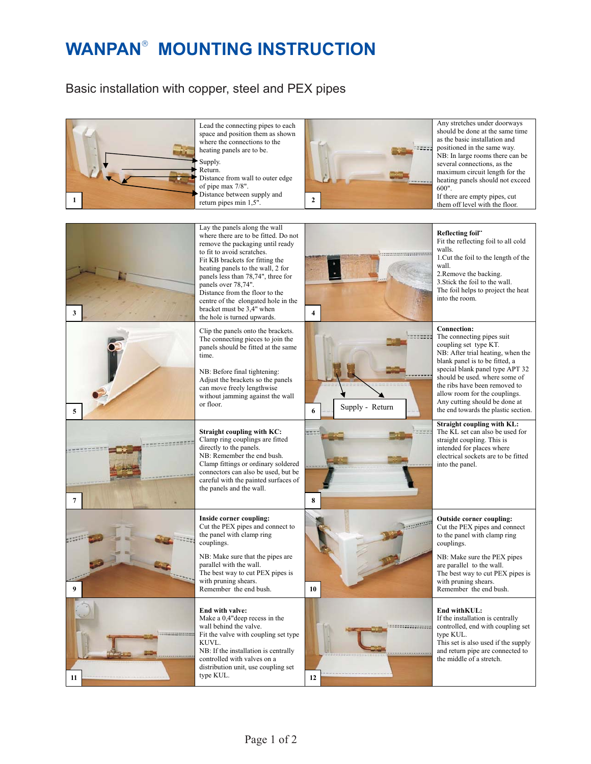# **WANPAN<sup>®</sup> MOUNTING INSTRUCTION**

# Basic installation with copper, steel and PEX pipes



Lead the connecting pipes to each space and position them as shown where the connections to the heating panels are to be. Supply. Return. Distance from wall to outer edge of pipe max 7/8". Distance between supply and return pipes min 1,5".



Any stretches under doorways should be done at the same time as the basic installation and positioned in the same way. NB: In large rooms there can be several connections, as the maximum circuit length for the heating panels should not exceed 600".

If there are empty pipes, cut them off level with the floor.